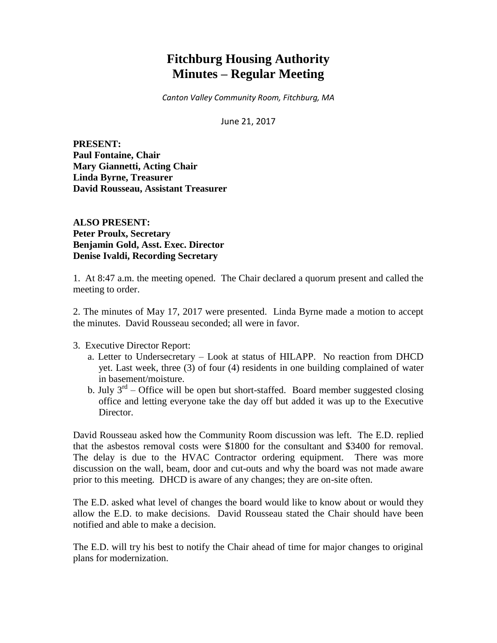# **Fitchburg Housing Authority Minutes – Regular Meeting**

*Canton Valley Community Room, Fitchburg, MA*

June 21, 2017

**PRESENT: Paul Fontaine, Chair Mary Giannetti, Acting Chair Linda Byrne, Treasurer David Rousseau, Assistant Treasurer**

**ALSO PRESENT: Peter Proulx, Secretary Benjamin Gold, Asst. Exec. Director Denise Ivaldi, Recording Secretary**

1. At 8:47 a.m. the meeting opened. The Chair declared a quorum present and called the meeting to order.

2. The minutes of May 17, 2017 were presented. Linda Byrne made a motion to accept the minutes. David Rousseau seconded; all were in favor.

3. Executive Director Report:

- a. Letter to Undersecretary Look at status of HILAPP. No reaction from DHCD yet. Last week, three (3) of four (4) residents in one building complained of water in basement/moisture.
- b. July  $3<sup>rd</sup>$  Office will be open but short-staffed. Board member suggested closing office and letting everyone take the day off but added it was up to the Executive Director.

David Rousseau asked how the Community Room discussion was left. The E.D. replied that the asbestos removal costs were \$1800 for the consultant and \$3400 for removal. The delay is due to the HVAC Contractor ordering equipment. There was more discussion on the wall, beam, door and cut-outs and why the board was not made aware prior to this meeting. DHCD is aware of any changes; they are on-site often.

The E.D. asked what level of changes the board would like to know about or would they allow the E.D. to make decisions. David Rousseau stated the Chair should have been notified and able to make a decision.

The E.D. will try his best to notify the Chair ahead of time for major changes to original plans for modernization.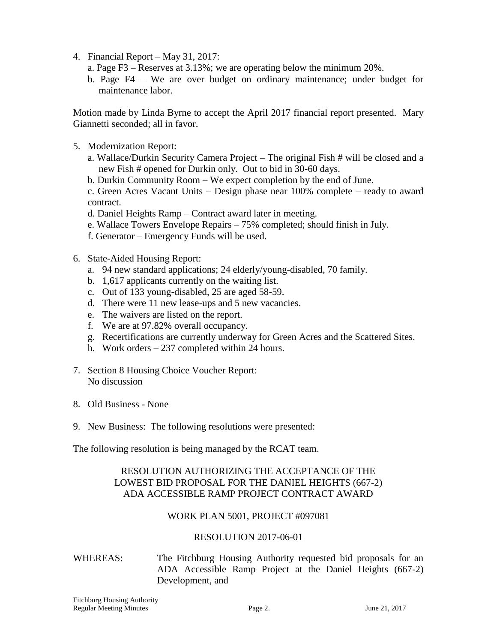- 4. Financial Report May 31, 2017:
	- a. Page F3 Reserves at 3.13%; we are operating below the minimum 20%.
	- b. Page F4 We are over budget on ordinary maintenance; under budget for maintenance labor.

Motion made by Linda Byrne to accept the April 2017 financial report presented. Mary Giannetti seconded; all in favor.

- 5. Modernization Report:
	- a. Wallace/Durkin Security Camera Project The original Fish # will be closed and a new Fish # opened for Durkin only. Out to bid in 30-60 days.
	- b. Durkin Community Room We expect completion by the end of June.

c. Green Acres Vacant Units – Design phase near 100% complete – ready to award contract.

- d. Daniel Heights Ramp Contract award later in meeting.
- e. Wallace Towers Envelope Repairs 75% completed; should finish in July.
- f. Generator Emergency Funds will be used.
- 6. State-Aided Housing Report:
	- a. 94 new standard applications; 24 elderly/young-disabled, 70 family.
	- b. 1,617 applicants currently on the waiting list.
	- c. Out of 133 young-disabled, 25 are aged 58-59.
	- d. There were 11 new lease-ups and 5 new vacancies.
	- e. The waivers are listed on the report.
	- f. We are at 97.82% overall occupancy.
	- g. Recertifications are currently underway for Green Acres and the Scattered Sites.
	- h. Work orders 237 completed within 24 hours.
- 7. Section 8 Housing Choice Voucher Report: No discussion
- 8. Old Business None
- 9. New Business: The following resolutions were presented:

The following resolution is being managed by the RCAT team.

## RESOLUTION AUTHORIZING THE ACCEPTANCE OF THE LOWEST BID PROPOSAL FOR THE DANIEL HEIGHTS (667-2) ADA ACCESSIBLE RAMP PROJECT CONTRACT AWARD

#### WORK PLAN 5001, PROJECT #097081

#### RESOLUTION 2017-06-01

WHEREAS: The Fitchburg Housing Authority requested bid proposals for an ADA Accessible Ramp Project at the Daniel Heights (667-2) Development, and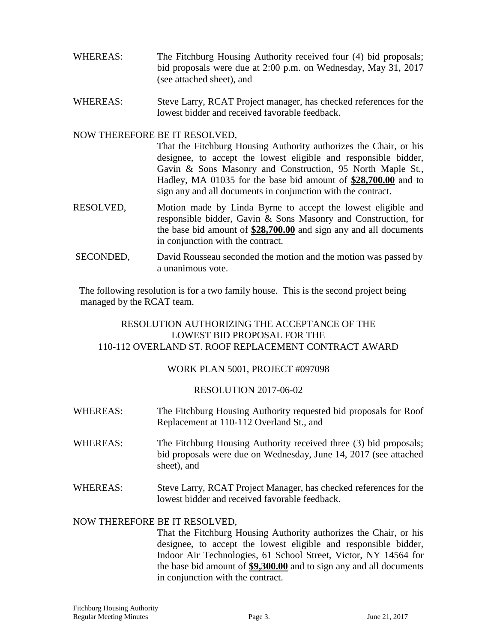- WHEREAS: The Fitchburg Housing Authority received four (4) bid proposals; bid proposals were due at 2:00 p.m. on Wednesday, May 31, 2017 (see attached sheet), and
- WHEREAS: Steve Larry, RCAT Project manager, has checked references for the lowest bidder and received favorable feedback.

### NOW THEREFORE BE IT RESOLVED,

That the Fitchburg Housing Authority authorizes the Chair, or his designee, to accept the lowest eligible and responsible bidder, Gavin & Sons Masonry and Construction, 95 North Maple St., Hadley, MA 01035 for the base bid amount of **\$28,700.00** and to sign any and all documents in conjunction with the contract.

- RESOLVED, Motion made by Linda Byrne to accept the lowest eligible and responsible bidder, Gavin & Sons Masonry and Construction, for the base bid amount of **\$28,700.00** and sign any and all documents in conjunction with the contract.
- SECONDED, David Rousseau seconded the motion and the motion was passed by a unanimous vote.

The following resolution is for a two family house. This is the second project being managed by the RCAT team.

## RESOLUTION AUTHORIZING THE ACCEPTANCE OF THE LOWEST BID PROPOSAL FOR THE 110-112 OVERLAND ST. ROOF REPLACEMENT CONTRACT AWARD

#### WORK PLAN 5001, PROJECT #097098

#### RESOLUTION 2017-06-02

- WHEREAS: The Fitchburg Housing Authority requested bid proposals for Roof Replacement at 110-112 Overland St., and
- WHEREAS: The Fitchburg Housing Authority received three (3) bid proposals; bid proposals were due on Wednesday, June 14, 2017 (see attached sheet), and
- WHEREAS: Steve Larry, RCAT Project Manager, has checked references for the lowest bidder and received favorable feedback.

#### NOW THEREFORE BE IT RESOLVED,

That the Fitchburg Housing Authority authorizes the Chair, or his designee, to accept the lowest eligible and responsible bidder, Indoor Air Technologies, 61 School Street, Victor, NY 14564 for the base bid amount of **\$9,300.00** and to sign any and all documents in conjunction with the contract.